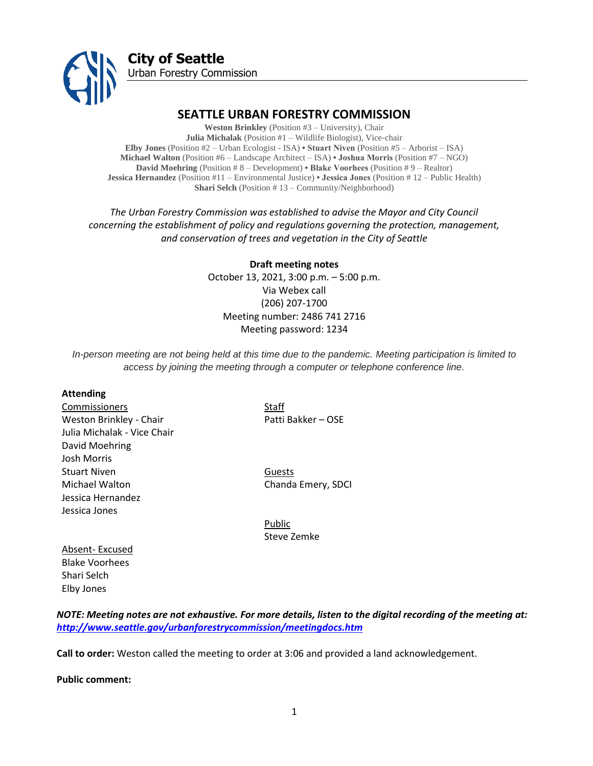

# **SEATTLE URBAN FORESTRY COMMISSION**

**Weston Brinkley** (Position #3 – University), Chair **Julia Michalak** (Position #1 – Wildlife Biologist), Vice-chair **Elby Jones** (Position #2 – Urban Ecologist - ISA) **• Stuart Niven** (Position #5 – Arborist – ISA) **Michael Walton** (Position #6 – Landscape Architect – ISA) **• Joshua Morris** (Position #7 – NGO) **David Moehring** (Position # 8 – Development) **• Blake Voorhees** (Position # 9 – Realtor) **Jessica Hernandez** (Position #11 – Environmental Justice) **• Jessica Jones** (Position # 12 – Public Health) **Shari Selch** (Position # 13 – Community/Neighborhood)

*The Urban Forestry Commission was established to advise the Mayor and City Council concerning the establishment of policy and regulations governing the protection, management, and conservation of trees and vegetation in the City of Seattle*

> **Draft meeting notes** October 13, 2021, 3:00 p.m. – 5:00 p.m. Via Webex call (206) 207-1700 Meeting number: 2486 741 2716 Meeting password: 1234

*In-person meeting are not being held at this time due to the pandemic. Meeting participation is limited to access by joining the meeting through a computer or telephone conference line.*

#### **Attending**

Commissioners Staff Weston Brinkley - Chair Patti Bakker – OSE Julia Michalak - Vice Chair David Moehring Josh Morris Stuart Niven **Guests** Michael Walton Chanda Emery, SDCI Jessica Hernandez Jessica Jones

Public Steve Zemke

Absent- Excused Blake Voorhees Shari Selch Elby Jones

*NOTE: Meeting notes are not exhaustive. For more details, listen to the digital recording of the meeting at: <http://www.seattle.gov/urbanforestrycommission/meetingdocs.htm>*

**Call to order:** Weston called the meeting to order at 3:06 and provided a land acknowledgement.

**Public comment:**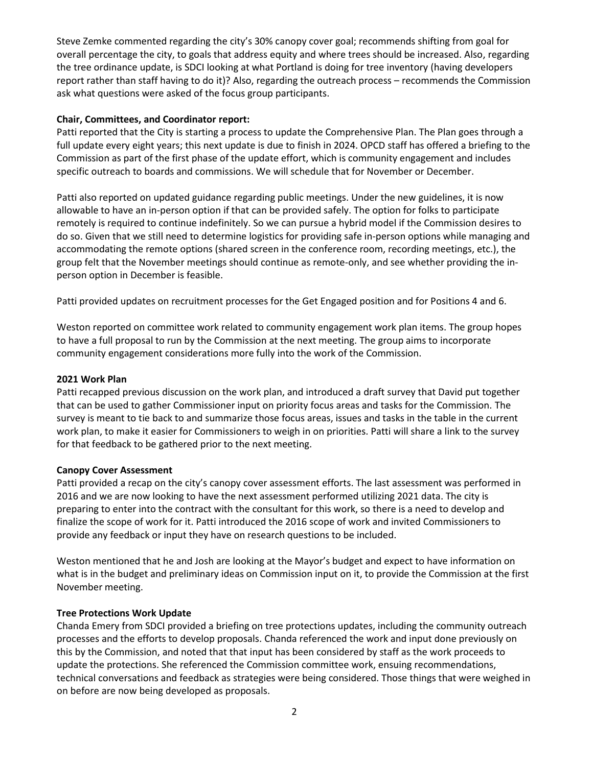Steve Zemke commented regarding the city's 30% canopy cover goal; recommends shifting from goal for overall percentage the city, to goals that address equity and where trees should be increased. Also, regarding the tree ordinance update, is SDCI looking at what Portland is doing for tree inventory (having developers report rather than staff having to do it)? Also, regarding the outreach process – recommends the Commission ask what questions were asked of the focus group participants.

### **Chair, Committees, and Coordinator report:**

Patti reported that the City is starting a process to update the Comprehensive Plan. The Plan goes through a full update every eight years; this next update is due to finish in 2024. OPCD staff has offered a briefing to the Commission as part of the first phase of the update effort, which is community engagement and includes specific outreach to boards and commissions. We will schedule that for November or December.

Patti also reported on updated guidance regarding public meetings. Under the new guidelines, it is now allowable to have an in-person option if that can be provided safely. The option for folks to participate remotely is required to continue indefinitely. So we can pursue a hybrid model if the Commission desires to do so. Given that we still need to determine logistics for providing safe in-person options while managing and accommodating the remote options (shared screen in the conference room, recording meetings, etc.), the group felt that the November meetings should continue as remote-only, and see whether providing the inperson option in December is feasible.

Patti provided updates on recruitment processes for the Get Engaged position and for Positions 4 and 6.

Weston reported on committee work related to community engagement work plan items. The group hopes to have a full proposal to run by the Commission at the next meeting. The group aims to incorporate community engagement considerations more fully into the work of the Commission.

## **2021 Work Plan**

Patti recapped previous discussion on the work plan, and introduced a draft survey that David put together that can be used to gather Commissioner input on priority focus areas and tasks for the Commission. The survey is meant to tie back to and summarize those focus areas, issues and tasks in the table in the current work plan, to make it easier for Commissioners to weigh in on priorities. Patti will share a link to the survey for that feedback to be gathered prior to the next meeting.

### **Canopy Cover Assessment**

Patti provided a recap on the city's canopy cover assessment efforts. The last assessment was performed in 2016 and we are now looking to have the next assessment performed utilizing 2021 data. The city is preparing to enter into the contract with the consultant for this work, so there is a need to develop and finalize the scope of work for it. Patti introduced the 2016 scope of work and invited Commissioners to provide any feedback or input they have on research questions to be included.

Weston mentioned that he and Josh are looking at the Mayor's budget and expect to have information on what is in the budget and preliminary ideas on Commission input on it, to provide the Commission at the first November meeting.

# **Tree Protections Work Update**

Chanda Emery from SDCI provided a briefing on tree protections updates, including the community outreach processes and the efforts to develop proposals. Chanda referenced the work and input done previously on this by the Commission, and noted that that input has been considered by staff as the work proceeds to update the protections. She referenced the Commission committee work, ensuing recommendations, technical conversations and feedback as strategies were being considered. Those things that were weighed in on before are now being developed as proposals.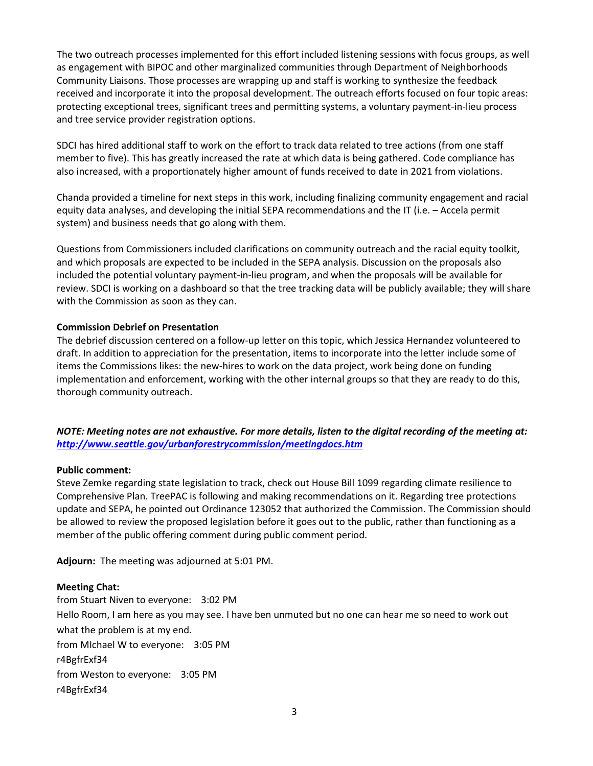The two outreach processes implemented for this effort included listening sessions with focus groups, as well as engagement with BIPOC and other marginalized communities through Department of Neighborhoods Community Liaisons. Those processes are wrapping up and staff is working to synthesize the feedback received and incorporate it into the proposal development. The outreach efforts focused on four topic areas: protecting exceptional trees, significant trees and permitting systems, a voluntary payment-in-lieu process and tree service provider registration options.

SDCI has hired additional staff to work on the effort to track data related to tree actions (from one staff member to five). This has greatly increased the rate at which data is being gathered. Code compliance has also increased, with a proportionately higher amount of funds received to date in 2021 from violations.

Chanda provided a timeline for next steps in this work, including finalizing community engagement and racial equity data analyses, and developing the initial SEPA recommendations and the IT (i.e. – Accela permit system) and business needs that go along with them.

Questions from Commissioners included clarifications on community outreach and the racial equity toolkit, and which proposals are expected to be included in the SEPA analysis. Discussion on the proposals also included the potential voluntary payment-in-lieu program, and when the proposals will be available for review. SDCI is working on a dashboard so that the tree tracking data will be publicly available; they will share with the Commission as soon as they can.

### **Commission Debrief on Presentation**

The debrief discussion centered on a follow-up letter on this topic, which Jessica Hernandez volunteered to draft. In addition to appreciation for the presentation, items to incorporate into the letter include some of items the Commissions likes: the new-hires to work on the data project, work being done on funding implementation and enforcement, working with the other internal groups so that they are ready to do this, thorough community outreach.

*NOTE: Meeting notes are not exhaustive. For more details, listen to the digital recording of the meeting at: <http://www.seattle.gov/urbanforestrycommission/meetingdocs.htm>*

### **Public comment:**

Steve Zemke regarding state legislation to track, check out House Bill 1099 regarding climate resilience to Comprehensive Plan. TreePAC is following and making recommendations on it. Regarding tree protections update and SEPA, he pointed out Ordinance 123052 that authorized the Commission. The Commission should be allowed to review the proposed legislation before it goes out to the public, rather than functioning as a member of the public offering comment during public comment period.

**Adjourn:** The meeting was adjourned at 5:01 PM.

### **Meeting Chat:**

from Stuart Niven to everyone: 3:02 PM Hello Room, I am here as you may see. I have ben unmuted but no one can hear me so need to work out what the problem is at my end. from MIchael W to everyone: 3:05 PM r4BgfrExf34 from Weston to everyone: 3:05 PM r4BgfrExf34